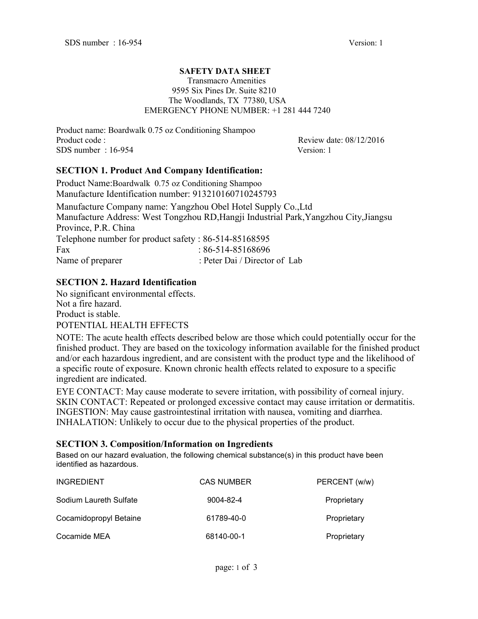#### **SAFETY DATA SHEET** Transmacro Amenities 9595 Six Pines Dr. Suite 8210 The Woodlands, TX 77380, USA EMERGENCY PHONE NUMBER: +1 281 444 7240

Product name: Boardwalk 0.75 oz Conditioning Shampoo Product code : Review date: 08/12/2016 SDS number : 16-954 Version: 1

### **SECTION 1. Product And Company Identification:**

Product Name:Boardwalk 0.75 oz Conditioning Shampoo Manufacture Identification number: 913210160710245793

Manufacture Company name: Yangzhou Obel Hotel Supply Co.,Ltd Manufacture Address: West Tongzhou RD,Hangji Industrial Park,Yangzhou City,Jiangsu Province, P.R. China Telephone number for product safety : 86-514-85168595 Fax : 86-514-85168696 Name of preparer : Peter Dai / Director of Lab

### **SECTION 2. Hazard Identification**

No significant environmental effects. Not a fire hazard. Product is stable. POTENTIAL HEALTH EFFECTS

NOTE: The acute health effects described below are those which could potentially occur for the finished product. They are based on the toxicology information available for the finished product and/or each hazardous ingredient, and are consistent with the product type and the likelihood of a specific route of exposure. Known chronic health effects related to exposure to a specific ingredient are indicated.

EYE CONTACT: May cause moderate to severe irritation, with possibility of cornealinjury. SKIN CONTACT: Repeated or prolonged excessive contact may cause irritation or dermatitis. INGESTION: May cause gastrointestinal irritation with nausea, vomiting and diarrhea. INHALATION: Unlikely to occur due to the physical properties of the product.

### **SECTION 3. Composition/Information on Ingredients**

Based on our hazard evaluation, the following chemical substance(s) in this product have been identified as hazardous.

| <b>INGREDIENT</b>      | <b>CAS NUMBER</b> | PERCENT (w/w) |
|------------------------|-------------------|---------------|
| Sodium Laureth Sulfate | 9004-82-4         | Proprietary   |
| Cocamidopropyl Betaine | 61789-40-0        | Proprietary   |
| Cocamide MEA           | 68140-00-1        | Proprietary   |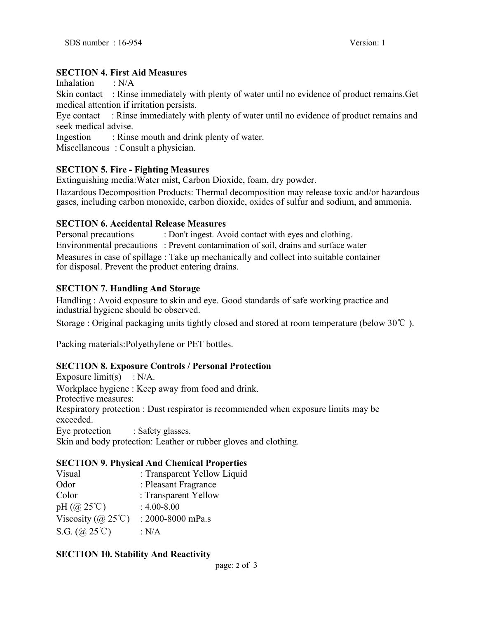### **SECTION 4. First Aid Measures**

Inhalation  $\cdot$  N/A

Skin contact : Rinse immediately with plenty of water until no evidence of product remains.Get medical attention if irritation persists.

Eye contact : Rinse immediately with plenty of water until no evidence of product remains and seek medical advise.

Ingestion : Rinse mouth and drink plenty of water.

Miscellaneous : Consult a physician.

### **SECTION 5. Fire - Fighting Measures**

Extinguishing media:Water mist, Carbon Dioxide, foam, dry powder.

Hazardous Decomposition Products: Thermal decomposition may release toxic and/or hazardous gases, including carbon monoxide, carbon dioxide, oxides of sulfur and sodium, and ammonia.

### **SECTION 6. Accidental Release Measures**

Personal precautions : Don't ingest. Avoid contact with eyes and clothing.

Environmental precautions : Prevent contamination of soil, drains and surface water

Measures in case of spillage : Take up mechanically and collect into suitable container for disposal. Prevent the product entering drains.

### **SECTION 7. Handling And Storage**

Handling : Avoid exposure to skin and eye. Good standards of safe working practice and industrial hygiene should be observed.

Storage : Original packaging units tightly closed and stored at room temperature (below 30℃ ).

Packing materials:Polyethylene or PET bottles.

### **SECTION 8. ExposureControls / Personal Protection**

Exposure limit(s)  $: N/A$ . Workplace hygiene : Keep away from food and drink. Protective measures: Respiratory protection : Dust respirator is recommended when exposure limits may be exceeded. Eye protection : Safety glasses. Skin and body protection: Leather or rubber gloves and clothing.

# **SECTION 9. Physical And Chemical Properties**

| $DEC HOT.$ ). The signal time Chemical Troper ties |  |
|----------------------------------------------------|--|
| : Transparent Yellow Liquid                        |  |
| : Pleasant Fragrance                               |  |
| : Transparent Yellow                               |  |
| $: 4.00 - 8.00$                                    |  |
| : 2000-8000 mPa.s                                  |  |
| : $N/A$                                            |  |
|                                                    |  |

### **SECTION 10. Stability And Reactivity**